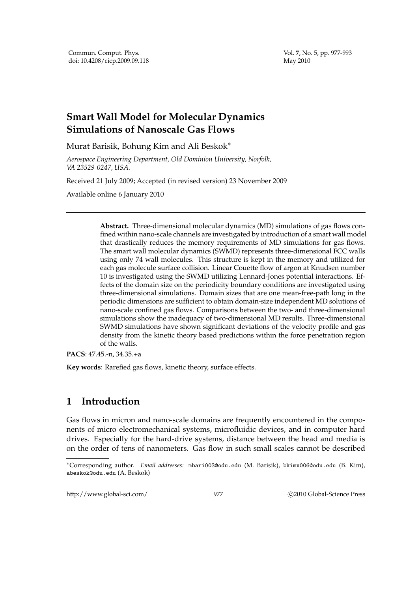Vol. **7**, No. 5, pp. 977-993 May 2010

# **Smart Wall Model for Molecular Dynamics Simulations of Nanoscale Gas Flows**

Murat Barisik, Bohung Kim and Ali Beskok<sup>∗</sup>

*Aerospace Engineering Department, Old Dominion University, Norfolk, VA 23529-0247, USA.*

Received 21 July 2009; Accepted (in revised version) 23 November 2009

Available online 6 January 2010

**Abstract.** Three-dimensional molecular dynamics (MD) simulations of gas flows confined within nano-scale channels are investigated by introduction of a smart wall model that drastically reduces the memory requirements of MD simulations for gas flows. The smart wall molecular dynamics (SWMD) represents three-dimensional FCC walls using only 74 wall molecules. This structure is kept in the memory and utilized for each gas molecule surface collision. Linear Couette flow of argon at Knudsen number 10 is investigated using the SWMD utilizing Lennard-Jones potential interactions. Effects of the domain size on the periodicity boundary conditions are investigated using three-dimensional simulations. Domain sizes that are one mean-free-path long in the periodic dimensions are sufficient to obtain domain-size independent MD solutions of nano-scale confined gas flows. Comparisons between the two- and three-dimensional simulations show the inadequacy of two-dimensional MD results. Three-dimensional SWMD simulations have shown significant deviations of the velocity profile and gas density from the kinetic theory based predictions within the force penetration region of the walls.

**PACS**: 47.45.-n, 34.35.+a

**Key words**: Rarefied gas flows, kinetic theory, surface effects.

# **1 Introduction**

Gas flows in micron and nano-scale domains are frequently encountered in the components of micro electromechanical systems, microfluidic devices, and in computer hard drives. Especially for the hard-drive systems, distance between the head and media is on the order of tens of nanometers. Gas flow in such small scales cannot be described

http://www.global-sci.com/ 977 c 2010 Global-Science Press

<sup>∗</sup>Corresponding author. *Email addresses:* mbari003@odu.edu (M. Barisik), bkimx006@odu.edu (B. Kim), abeskok@odu.edu (A. Beskok)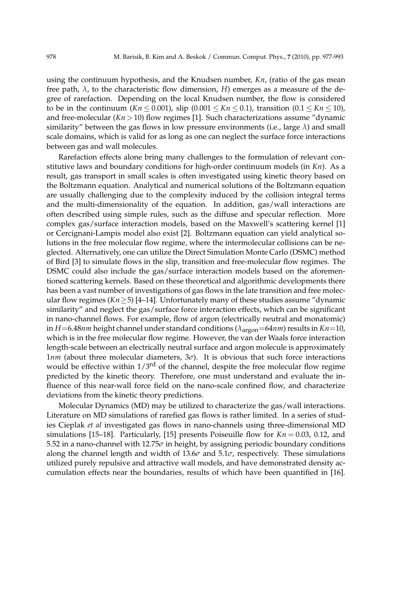using the continuum hypothesis, and the Knudsen number, *Kn*, (ratio of the gas mean free path,  $\lambda$ , to the characteristic flow dimension, *H*) emerges as a measure of the degree of rarefaction. Depending on the local Knudsen number, the flow is considered to be in the continuum  $(Kn \le 0.001)$ , slip  $(0.001 \le Kn \le 0.1)$ , transition  $(0.1 \le Kn \le 10)$ , and free-molecular (*Kn*>10) flow regimes [1]. Such characterizations assume "dynamic similarity" between the gas flows in low pressure environments (i.e., large *λ*) and small scale domains, which is valid for as long as one can neglect the surface force interactions between gas and wall molecules.

Rarefaction effects alone bring many challenges to the formulation of relevant constitutive laws and boundary conditions for high-order continuum models (in *Kn*). As a result, gas transport in small scales is often investigated using kinetic theory based on the Boltzmann equation. Analytical and numerical solutions of the Boltzmann equation are usually challenging due to the complexity induced by the collision integral terms and the multi-dimensionality of the equation. In addition, gas/wall interactions are often described using simple rules, such as the diffuse and specular reflection. More complex gas/surface interaction models, based on the Maxwell's scattering kernel [1] or Cercignani-Lampis model also exist [2]. Boltzmann equation can yield analytical solutions in the free molecular flow regime, where the intermolecular collisions can be neglected. Alternatively, one can utilize the Direct Simulation Monte Carlo (DSMC) method of Bird [3] to simulate flows in the slip, transition and free-molecular flow regimes. The DSMC could also include the gas/surface interaction models based on the aforementioned scattering kernels. Based on these theoretical and algorithmic developments there has been a vast number of investigations of gas flows in the late transition and free molecular flow regimes  $(Kn \geq 5)$  [4–14]. Unfortunately many of these studies assume "dynamic similarity" and neglect the gas/surface force interaction effects, which can be significant in nano-channel flows. For example, flow of argon (electrically neutral and monatomic) in *H*=6.48*nm* height channel under standard conditions (*λ*argon=64*nm*) results in *Kn*=10, which is in the free molecular flow regime. However, the van der Waals force interaction length-scale between an electrically neutral surface and argon molecule is approximately 1*nm* (about three molecular diameters, 3*σ*). It is obvious that such force interactions would be effective within  $1/3<sup>rd</sup>$  of the channel, despite the free molecular flow regime predicted by the kinetic theory. Therefore, one must understand and evaluate the influence of this near-wall force field on the nano-scale confined flow, and characterize deviations from the kinetic theory predictions.

Molecular Dynamics (MD) may be utilized to characterize the gas/wall interactions. Literature on MD simulations of rarefied gas flows is rather limited. In a series of studies Cieplak *et al* investigated gas flows in nano-channels using three-dimensional MD simulations [15–18]. Particularly, [15] presents Poiseuille flow for  $Kn = 0.03$ , 0.12, and 5.52 in a nano-channel with 12.75*σ* in height, by assigning periodic boundary conditions along the channel length and width of  $13.6\sigma$  and  $5.1\sigma$ , respectively. These simulations utilized purely repulsive and attractive wall models, and have demonstrated density accumulation effects near the boundaries, results of which have been quantified in [16].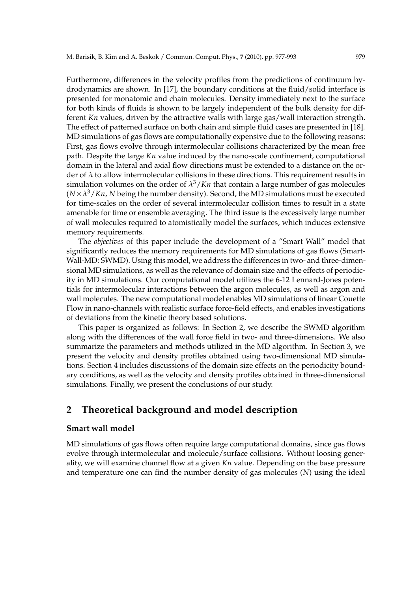Furthermore, differences in the velocity profiles from the predictions of continuum hydrodynamics are shown. In [17], the boundary conditions at the fluid/solid interface is presented for monatomic and chain molecules. Density immediately next to the surface for both kinds of fluids is shown to be largely independent of the bulk density for different *Kn* values, driven by the attractive walls with large gas/wall interaction strength. The effect of patterned surface on both chain and simple fluid cases are presented in [18]. MD simulations of gas flows are computationally expensive due to the following reasons: First, gas flows evolve through intermolecular collisions characterized by the mean free path. Despite the large *Kn* value induced by the nano-scale confinement, computational domain in the lateral and axial flow directions must be extended to a distance on the order of *λ* to allow intermolecular collisions in these directions. This requirement results in simulation volumes on the order of  $\lambda^3/Kn$  that contain a large number of gas molecules  $(N \times \lambda^3/Kn$ , *N* being the number density). Second, the MD simulations must be executed for time-scales on the order of several intermolecular collision times to result in a state amenable for time or ensemble averaging. The third issue is the excessively large number of wall molecules required to atomistically model the surfaces, which induces extensive memory requirements.

The *objectives* of this paper include the development of a "Smart Wall" model that significantly reduces the memory requirements for MD simulations of gas flows (Smart-Wall-MD: SWMD). Using this model, we address the differences in two- and three-dimensional MD simulations, as well as the relevance of domain size and the effects of periodicity in MD simulations. Our computational model utilizes the 6-12 Lennard-Jones potentials for intermolecular interactions between the argon molecules, as well as argon and wall molecules. The new computational model enables MD simulations of linear Couette Flow in nano-channels with realistic surface force-field effects, and enables investigations of deviations from the kinetic theory based solutions.

This paper is organized as follows: In Section 2, we describe the SWMD algorithm along with the differences of the wall force field in two- and three-dimensions. We also summarize the parameters and methods utilized in the MD algorithm. In Section 3, we present the velocity and density profiles obtained using two-dimensional MD simulations. Section 4 includes discussions of the domain size effects on the periodicity boundary conditions, as well as the velocity and density profiles obtained in three-dimensional simulations. Finally, we present the conclusions of our study.

# **2 Theoretical background and model description**

### **Smart wall model**

MD simulations of gas flows often require large computational domains, since gas flows evolve through intermolecular and molecule/surface collisions. Without loosing generality, we will examine channel flow at a given *Kn* value. Depending on the base pressure and temperature one can find the number density of gas molecules (*N*) using the ideal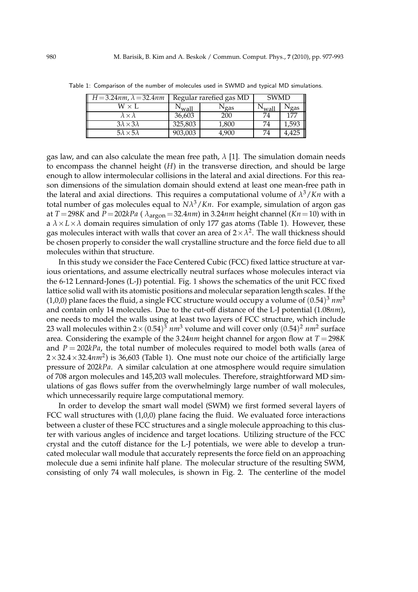| $H = 3.24$ nm, $\lambda = 32.4$ nm | Regular rarefied gas MD |           | SWMD  |       |
|------------------------------------|-------------------------|-----------|-------|-------|
| $\mathrm{W}\times \mathrm{L}$      | $\mathsf{wall}$         | $N_{gas}$ | √wall | Ngas  |
| $\lambda \!\times\!\lambda$        | 36,603                  | 200       |       | 177   |
| $3\lambda \times 3\lambda$         | 325,803                 | 1,800     | 74    | 1,593 |
| $5\lambda \times 5\lambda$         | 903,003                 | 4,900     | 74    | 4,425 |

Table 1: Comparison of the number of molecules used in SWMD and typical MD simulations.

gas law, and can also calculate the mean free path,  $\lambda$  [1]. The simulation domain needs to encompass the channel height (*H*) in the transverse direction, and should be large enough to allow intermolecular collisions in the lateral and axial directions. For this reason dimensions of the simulation domain should extend at least one mean-free path in the lateral and axial directions. This requires a computational volume of *λ* <sup>3</sup>/*Kn* with a total number of gas molecules equal to *Nλ* <sup>3</sup>/*Kn*. For example, simulation of argon gas at  $T = 298K$  and  $P = 202kPa$  ( $\lambda_{\text{argon}} = 32.4nm$ ) in 3.24*nm* height channel ( $Kn = 10$ ) with in a  $\lambda \times L \times \lambda$  domain requires simulation of only 177 gas atoms (Table 1). However, these gas molecules interact with walls that cover an area of  $2 \times \lambda^2$ . The wall thickness should be chosen properly to consider the wall crystalline structure and the force field due to all molecules within that structure.

In this study we consider the Face Centered Cubic (FCC) fixed lattice structure at various orientations, and assume electrically neutral surfaces whose molecules interact via the 6-12 Lennard-Jones (L-J) potential. Fig. 1 shows the schematics of the unit FCC fixed lattice solid wall with its atomistic positions and molecular separation length scales. If the (1,0,0) plane faces the fluid, a single FCC structure would occupy a volume of  $(0.54)^3$   $nm^3$ and contain only 14 molecules. Due to the cut-off distance of the L-J potential (1.08*nm*), one needs to model the walls using at least two layers of FCC structure, which include 23 wall molecules within 2 $\times$  (0.54)<sup>3</sup>  $nm^3$  volume and will cover only (0.54)<sup>2</sup>  $nm^2$  surface area. Considering the example of the 3.24*nm* height channel for argon flow at *T* =298*K* and *P* = 202*kPa*, the total number of molecules required to model both walls (area of  $2\times$ 32.4 $\times$ 32.4 $nm^2$ ) is 36,603 (Table 1). One must note our choice of the artificially large pressure of 202*kPa*. A similar calculation at one atmosphere would require simulation of 708 argon molecules and 145,203 wall molecules. Therefore, straightforward MD simulations of gas flows suffer from the overwhelmingly large number of wall molecules, which unnecessarily require large computational memory.

In order to develop the smart wall model (SWM) we first formed several layers of FCC wall structures with  $(1,0,0)$  plane facing the fluid. We evaluated force interactions between a cluster of these FCC structures and a single molecule approaching to this cluster with various angles of incidence and target locations. Utilizing structure of the FCC crystal and the cutoff distance for the L-J potentials, we were able to develop a truncated molecular wall module that accurately represents the force field on an approaching molecule due a semi infinite half plane. The molecular structure of the resulting SWM, consisting of only 74 wall molecules, is shown in Fig. 2. The centerline of the model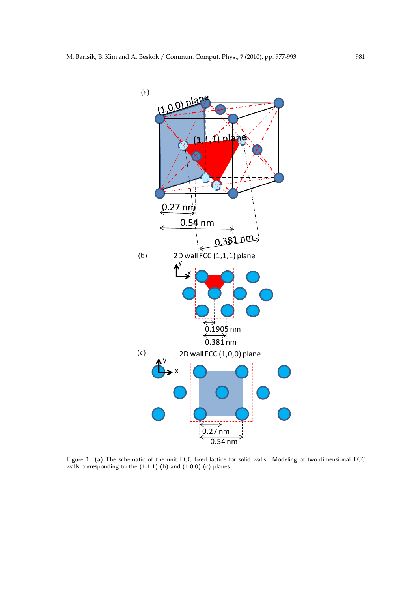

Figure 1: (a) The schematic of the unit FCC fixed lattice for solid walls. Modeling of two-dimensional FCC walls corresponding to the  $(1,1,1)$  (b) and  $(1,0,0)$  (c) planes.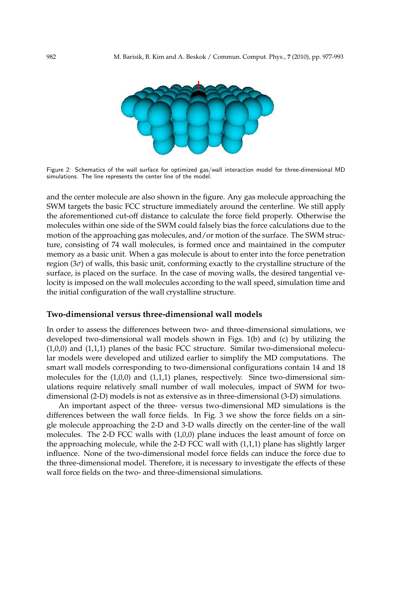

Figure 2: Schematics of the wall surface for optimized gas/wall interaction model for three-dimensional MD simulations. The line represents the center line of the model.

and the center molecule are also shown in the figure. Any gas molecule approaching the SWM targets the basic FCC structure immediately around the centerline. We still apply the aforementioned cut-off distance to calculate the force field properly. Otherwise the molecules within one side of the SWM could falsely bias the force calculations due to the motion of the approaching gas molecules, and/or motion of the surface. The SWM structure, consisting of 74 wall molecules, is formed once and maintained in the computer memory as a basic unit. When a gas molecule is about to enter into the force penetration region (3*σ*) of walls, this basic unit, conforming exactly to the crystalline structure of the surface, is placed on the surface. In the case of moving walls, the desired tangential velocity is imposed on the wall molecules according to the wall speed, simulation time and the initial configuration of the wall crystalline structure.

### **Two-dimensional versus three-dimensional wall models**

In order to assess the differences between two- and three-dimensional simulations, we developed two-dimensional wall models shown in Figs. 1(b) and (c) by utilizing the (1,0,0) and (1,1,1) planes of the basic FCC structure. Similar two-dimensional molecular models were developed and utilized earlier to simplify the MD computations. The smart wall models corresponding to two-dimensional configurations contain 14 and 18 molecules for the (1,0,0) and (1,1,1) planes, respectively. Since two-dimensional simulations require relatively small number of wall molecules, impact of SWM for twodimensional (2-D) models is not as extensive as in three-dimensional (3-D) simulations.

An important aspect of the three- versus two-dimensional MD simulations is the differences between the wall force fields. In Fig. 3 we show the force fields on a single molecule approaching the 2-D and 3-D walls directly on the center-line of the wall molecules. The 2-D FCC walls with (1,0,0) plane induces the least amount of force on the approaching molecule, while the 2-D FCC wall with (1,1,1) plane has slightly larger influence. None of the two-dimensional model force fields can induce the force due to the three-dimensional model. Therefore, it is necessary to investigate the effects of these wall force fields on the two- and three-dimensional simulations.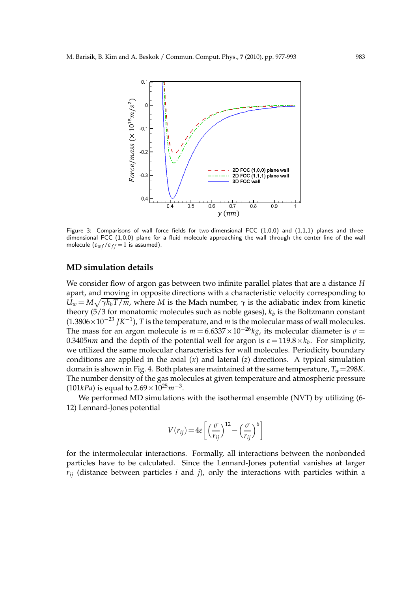

Figure 3: Comparisons of wall force fields for two-dimensional FCC  $(1,0,0)$  and  $(1,1,1)$  planes and threedimensional FCC (1,0,0) plane for a fluid molecule approaching the wall through the center line of the wall molecule  $(\varepsilon_{wf}/\varepsilon_{ff} = 1$  is assumed).

### **MD simulation details**

We consider flow of argon gas between two infinite parallel plates that are a distance *H* apart, and moving in opposite directions with a characteristic velocity corresponding to  $U_w = M \sqrt{\gamma k_b T / m}$ , where *M* is the Mach number,  $\gamma$  is the adiabatic index from kinetic theory (5/3 for monatomic molecules such as noble gases),  $k_b$  is the Boltzmann constant (1.3806×10−<sup>23</sup> *JK*−<sup>1</sup> ), *T* is the temperature, and *m* is the molecular mass of wall molecules. The mass for an argon molecule is  $m = 6.6337 \times 10^{-26}$ *kg*, its molecular diameter is  $\sigma =$ 0.3405 $nm$  and the depth of the potential well for argon is  $\varepsilon = 119.8 \times k_b$ . For simplicity, we utilized the same molecular characteristics for wall molecules. Periodicity boundary conditions are applied in the axial (*x*) and lateral (*z*) directions. A typical simulation domain is shown in Fig. 4. Both plates are maintained at the same temperature, *Tw*=298*K*. The number density of the gas molecules at given temperature and atmospheric pressure (101*kPa*) is equal to  $2.69 \times 10^{25} m^{-3}$ .

We performed MD simulations with the isothermal ensemble (NVT) by utilizing (6- 12) Lennard-Jones potential

$$
V(r_{ij}) = 4\varepsilon \left[ \left( \frac{\sigma}{r_{ij}} \right)^{12} - \left( \frac{\sigma}{r_{ij}} \right)^{6} \right]
$$

for the intermolecular interactions. Formally, all interactions between the nonbonded particles have to be calculated. Since the Lennard-Jones potential vanishes at larger  $r_{ij}$  (distance between particles *i* and *j*), only the interactions with particles within a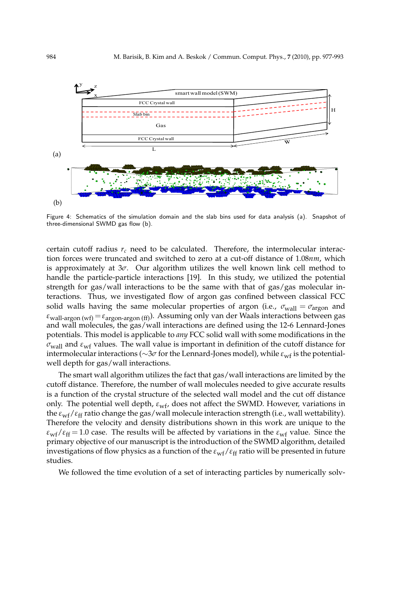

Figure 4: Schematics of the simulation domain and the slab bins used for data analysis (a). Snapshot of three-dimensional SWMD gas flow (b).

certain cutoff radius  $r_c$  need to be calculated. Therefore, the intermolecular interaction forces were truncated and switched to zero at a cut-off distance of 1.08*nm*, which is approximately at  $3\sigma$ . Our algorithm utilizes the well known link cell method to handle the particle-particle interactions [19]. In this study, we utilized the potential strength for gas/wall interactions to be the same with that of gas/gas molecular interactions. Thus, we investigated flow of argon gas confined between classical FCC solid walls having the same molecular properties of argon (i.e.,  $\sigma_{\text{wall}} = \sigma_{\text{argon}}$  and  $\varepsilon_{\text{wall-areon (wf)}} = \varepsilon_{\text{areon-areon (ff)}}$ ). Assuming only van der Waals interactions between gas and wall molecules, the gas/wall interactions are defined using the 12-6 Lennard-Jones potentials. This model is applicable to *any* FCC solid wall with some modifications in the  $\sigma_{\text{wall}}$  and  $\varepsilon_{\text{wf}}$  values. The wall value is important in definition of the cutoff distance for intermolecular interactions (∼3*σ* for the Lennard-Jones model), while  $\varepsilon$ <sub>wf</sub> is the potentialwell depth for gas/wall interactions.

The smart wall algorithm utilizes the fact that gas/wall interactions are limited by the cutoff distance. Therefore, the number of wall molecules needed to give accurate results is a function of the crystal structure of the selected wall model and the cut off distance only. The potential well depth,  $\varepsilon_{w}$ , does not affect the SWMD. However, variations in the  $\varepsilon_{wf}/\varepsilon_{ff}$  ratio change the gas/wall molecule interaction strength (i.e., wall wettability). Therefore the velocity and density distributions shown in this work are unique to the  $\varepsilon_{\rm wf}/\varepsilon_{\rm ff} = 1.0$  case. The results will be affected by variations in the  $\varepsilon_{\rm wf}$  value. Since the primary objective of our manuscript is the introduction of the SWMD algorithm, detailed investigations of flow physics as a function of the  $\varepsilon_{wf}/\varepsilon_{ff}$  ratio will be presented in future studies.

We followed the time evolution of a set of interacting particles by numerically solv-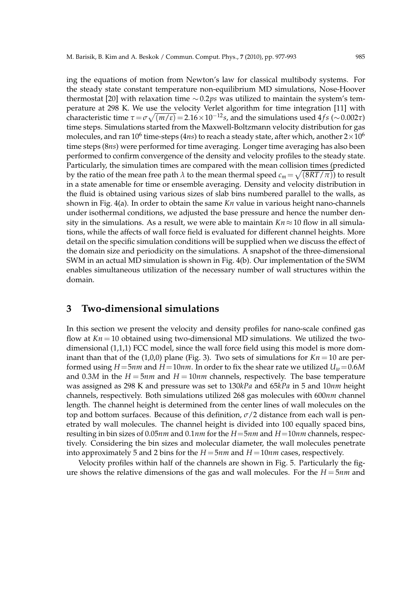ing the equations of motion from Newton's law for classical multibody systems. For the steady state constant temperature non-equilibrium MD simulations, Nose-Hoover thermostat [20] with relaxation time ∼ 0.2*ps* was utilized to maintain the system's temperature at 298 K. We use the velocity Verlet algorithm for time integration [11] with  $\frac{1}{2}$ characteristic time  $\tau = \sigma \sqrt{(m/\epsilon)} = 2.16 \times 10^{-12}$ *s*, and the simulations used 4*f s* (∼0.002*τ*) time steps. Simulations started from the Maxwell-Boltzmann velocity distribution for gas molecules, and ran  $10^6$  time-steps ( $4ns$ ) to reach a steady state, after which, another  $2{\times}10^6$ time steps (8*ns*) were performed for time averaging. Longer time averaging has also been performed to confirm convergence of the density and velocity profiles to the steady state. Particularly, the simulation times are compared with the mean collision times (predicted by the ratio of the mean free path  $\lambda$  to the mean thermal speed  $c_m\!=\!\sqrt{(8RT/\pi)})$  to result in a state amenable for time or ensemble averaging. Density and velocity distribution in the fluid is obtained using various sizes of slab bins numbered parallel to the walls, as shown in Fig. 4(a). In order to obtain the same *Kn* value in various height nano-channels under isothermal conditions, we adjusted the base pressure and hence the number density in the simulations. As a result, we were able to maintain  $Kn \approx 10$  flow in all simulations, while the affects of wall force field is evaluated for different channel heights. More detail on the specific simulation conditions will be supplied when we discuss the effect of the domain size and periodicity on the simulations. A snapshot of the three-dimensional SWM in an actual MD simulation is shown in Fig. 4(b). Our implementation of the SWM enables simultaneous utilization of the necessary number of wall structures within the domain.

# **3 Two-dimensional simulations**

In this section we present the velocity and density profiles for nano-scale confined gas flow at  $Kn = 10$  obtained using two-dimensional MD simulations. We utilized the twodimensional (1,1,1) FCC model, since the wall force field using this model is more dominant than that of the  $(1,0,0)$  plane (Fig. 3). Two sets of simulations for  $Kn = 10$  are performed using *H*=5*nm* and *H*=10*nm*. In order to fix the shear rate we utilized *Uw*=0.6*M* and 0.3*M* in the *H* = 5*nm* and *H* = 10*nm* channels, respectively. The base temperature was assigned as 298 K and pressure was set to 130*kPa* and 65*kPa* in 5 and 10*nm* height channels, respectively. Both simulations utilized 268 gas molecules with 600*nm* channel length. The channel height is determined from the center lines of wall molecules on the top and bottom surfaces. Because of this definition,  $\sigma/2$  distance from each wall is penetrated by wall molecules. The channel height is divided into 100 equally spaced bins, resulting in bin sizes of 0.05*nm* and 0.1*nm* for the *H*=5*nm* and *H*=10*nm* channels, respectively. Considering the bin sizes and molecular diameter, the wall molecules penetrate into approximately 5 and 2 bins for the  $H = 5nm$  and  $H = 10nm$  cases, respectively.

Velocity profiles within half of the channels are shown in Fig. 5. Particularly the figure shows the relative dimensions of the gas and wall molecules. For the *H* = 5*nm* and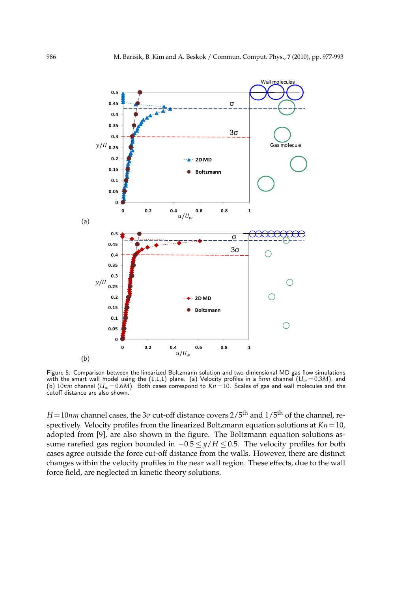

Figure 5: Comparison between the linearized Boltzmann solution and two-dimensional MD gas flow simulations with the smart wall model using the  $(1,1,1)$  plane.  $\:$ a) Velocity profiles in a  $5nm$  channel  $(U_w\!=\!0.3M)$ , and (b)  $10nm$  channel  $(U_w=0.6M)$ . Both cases correspond to  $Kn=10$ . Scales of gas and wall molecules and the cutoff distance are also shown.

*H*=10*nm* channel cases, the 3*σ* cut-off distance covers  $2/5$ <sup>th</sup> and  $1/5$ <sup>th</sup> of the channel, respectively. Velocity profiles from the linearized Boltzmann equation solutions at *Kn*=10, adopted from [9], are also shown in the figure. The Boltzmann equation solutions assume rarefied gas region bounded in −0.5 ≤ *y*/*H* ≤ 0.5. The velocity profiles for both cases agree outside the force cut-off distance from the walls. However, there are distinct changes within the velocity profiles in the near wall region. These effects, due to the wall force field, are neglected in kinetic theory solutions.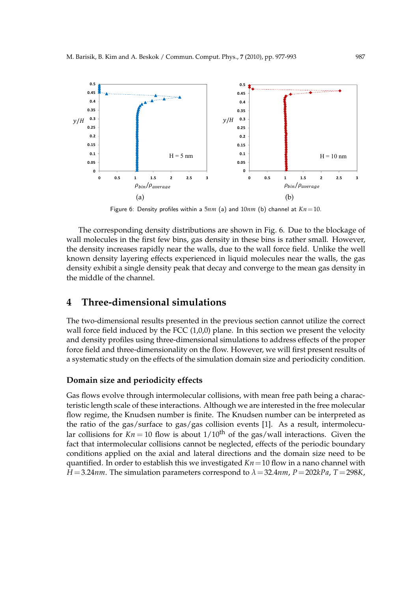

Figure 6: Density profiles within a 5*nm* (a) and 10*nm* (b) channel at *Kn*=10.

The corresponding density distributions are shown in Fig. 6. Due to the blockage of wall molecules in the first few bins, gas density in these bins is rather small. However, the density increases rapidly near the walls, due to the wall force field. Unlike the well known density layering effects experienced in liquid molecules near the walls, the gas density exhibit a single density peak that decay and converge to the mean gas density in the middle of the channel.

### **4 Three-dimensional simulations**

The two-dimensional results presented in the previous section cannot utilize the correct wall force field induced by the FCC  $(1,0,0)$  plane. In this section we present the velocity and density profiles using three-dimensional simulations to address effects of the proper force field and three-dimensionality on the flow. However, we will first present results of a systematic study on the effects of the simulation domain size and periodicity condition.

### **Domain size and periodicity effects**

Gas flows evolve through intermolecular collisions, with mean free path being a characteristic length scale of these interactions. Although we are interested in the free molecular flow regime, the Knudsen number is finite. The Knudsen number can be interpreted as the ratio of the gas/surface to gas/gas collision events [1]. As a result, intermolecular collisions for  $Kn = 10$  flow is about  $1/10^{th}$  of the gas/wall interactions. Given the fact that intermolecular collisions cannot be neglected, effects of the periodic boundary conditions applied on the axial and lateral directions and the domain size need to be quantified. In order to establish this we investigated *Kn*=10 flow in a nano channel with *H* =3.24*nm*. The simulation parameters correspond to *λ*=32.4*nm*, *P*=202*kPa*, *T* =298*K*,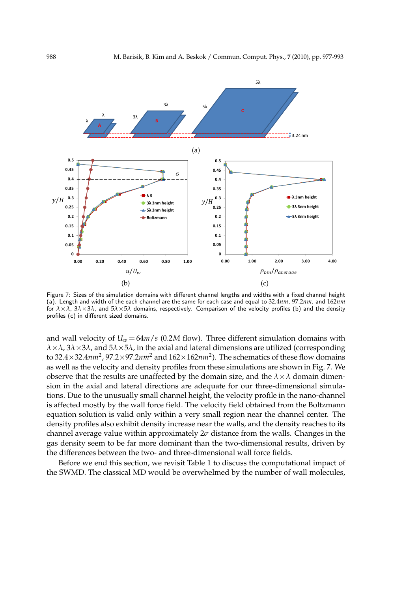

Figure 7: Sizes of the simulation domains with different channel lengths and widths with a fixed channel height (a). Length and width of the each channel are the same for each case and equal to 32.4*nm*, 97.2*nm*, and 162*nm* for *λ*×*λ*, 3*λ*×3*λ*, and 5*λ*×5*λ* domains, respectively. Comparison of the velocity profiles (b) and the density profiles (c) in different sized domains.

and wall velocity of  $U_w = 64m/s$  (0.2*M* flow). Three different simulation domains with *λ*×*λ*, 3*λ*×3*λ*, and 5*λ*×5*λ*, in the axial and lateral dimensions are utilized (corresponding to 32.4×32.4*nm<sup>2</sup>* , 97.2×97.2*nm<sup>2</sup>* and 162×162*nm<sup>2</sup>*). The schematics of these flow domains as well as the velocity and density profiles from these simulations are shown in Fig. 7. We observe that the results are unaffected by the domain size, and the  $\lambda \times \lambda$  domain dimension in the axial and lateral directions are adequate for our three-dimensional simulations. Due to the unusually small channel height, the velocity profile in the nano-channel is affected mostly by the wall force field. The velocity field obtained from the Boltzmann equation solution is valid only within a very small region near the channel center. The density profiles also exhibit density increase near the walls, and the density reaches to its channel average value within approximately 2*σ* distance from the walls. Changes in the gas density seem to be far more dominant than the two-dimensional results, driven by the differences between the two- and three-dimensional wall force fields.

Before we end this section, we revisit Table 1 to discuss the computational impact of the SWMD. The classical MD would be overwhelmed by the number of wall molecules,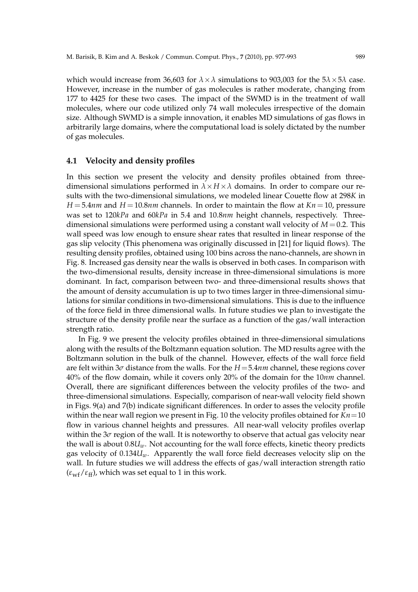which would increase from 36,603 for  $\lambda \times \lambda$  simulations to 903,003 for the  $5\lambda \times 5\lambda$  case. However, increase in the number of gas molecules is rather moderate, changing from 177 to 4425 for these two cases. The impact of the SWMD is in the treatment of wall molecules, where our code utilized only 74 wall molecules irrespective of the domain size. Although SWMD is a simple innovation, it enables MD simulations of gas flows in arbitrarily large domains, where the computational load is solely dictated by the number

### **4.1 Velocity and density profiles**

of gas molecules.

In this section we present the velocity and density profiles obtained from threedimensional simulations performed in  $\lambda \times H \times \lambda$  domains. In order to compare our results with the two-dimensional simulations, we modeled linear Couette flow at 298*K* in  $H = 5.4$ *nm* and  $H = 10.8$ *nm* channels. In order to maintain the flow at  $Kn = 10$ , pressure was set to 120*kPa* and 60*kPa* in 5.4 and 10.8*nm* height channels, respectively. Threedimensional simulations were performed using a constant wall velocity of *M*=0.2. This wall speed was low enough to ensure shear rates that resulted in linear response of the gas slip velocity (This phenomena was originally discussed in [21] for liquid flows). The resulting density profiles, obtained using 100 bins across the nano-channels, are shown in Fig. 8. Increased gas density near the walls is observed in both cases. In comparison with the two-dimensional results, density increase in three-dimensional simulations is more dominant. In fact, comparison between two- and three-dimensional results shows that the amount of density accumulation is up to two times larger in three-dimensional simulations for similar conditions in two-dimensional simulations. This is due to the influence of the force field in three dimensional walls. In future studies we plan to investigate the structure of the density profile near the surface as a function of the gas/wall interaction strength ratio.

In Fig. 9 we present the velocity profiles obtained in three-dimensional simulations along with the results of the Boltzmann equation solution. The MD results agree with the Boltzmann solution in the bulk of the channel. However, effects of the wall force field are felt within 3*σ* distance from the walls. For the *H*=5.4*nm* channel, these regions cover 40% of the flow domain, while it covers only 20% of the domain for the 10*nm* channel. Overall, there are significant differences between the velocity profiles of the two- and three-dimensional simulations. Especially, comparison of near-wall velocity field shown in Figs. 9(a) and 7(b) indicate significant differences. In order to asses the velocity profile within the near wall region we present in Fig. 10 the velocity profiles obtained for  $Kn = 10$ flow in various channel heights and pressures. All near-wall velocity profiles overlap within the 3*σ* region of the wall. It is noteworthy to observe that actual gas velocity near the wall is about 0.8*Uw*. Not accounting for the wall force effects, kinetic theory predicts gas velocity of 0.134*Uw*. Apparently the wall force field decreases velocity slip on the wall. In future studies we will address the effects of gas/wall interaction strength ratio  $(\varepsilon_{wf}/\varepsilon_{ff})$ , which was set equal to 1 in this work.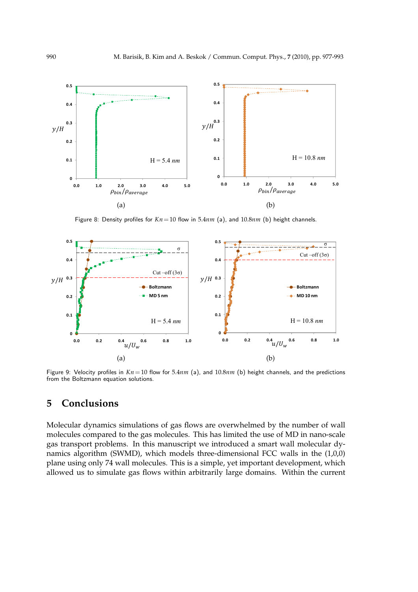

Figure 8: Density profiles for  $Kn = 10$  flow in 5.4 $nm$  (a), and 10.8 $nm$  (b) height channels.



Figure 9: Velocity profiles in *Kn*=10 flow for 5.4*nm* (a), and 10.8*nm* (b) height channels, and the predictions from the Boltzmann equation solutions.

# **5 Conclusions**

Molecular dynamics simulations of gas flows are overwhelmed by the number of wall molecules compared to the gas molecules. This has limited the use of MD in nano-scale gas transport problems. In this manuscript we introduced a smart wall molecular dynamics algorithm (SWMD), which models three-dimensional FCC walls in the (1,0,0) plane using only 74 wall molecules. This is a simple, yet important development, which allowed us to simulate gas flows within arbitrarily large domains. Within the current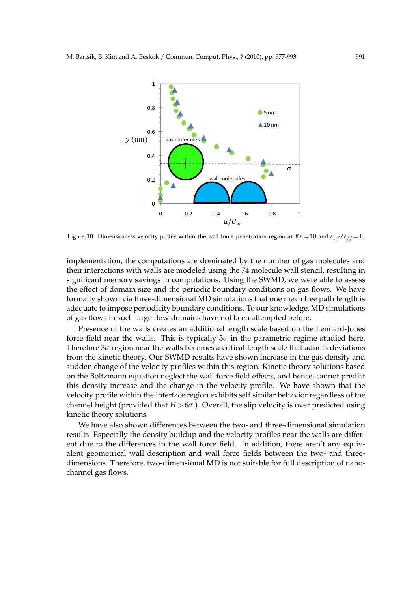

Figure 10: Dimensionless velocity profile within the wall force penetration region at  $Kn = 10$  and  $\varepsilon_{wf}/\varepsilon_{ff} = 1$ .

implementation, the computations are dominated by the number of gas molecules and their interactions with walls are modeled using the 74 molecule wall stencil, resulting in significant memory savings in computations. Using the SWMD, we were able to assess the effect of domain size and the periodic boundary conditions on gas flows. We have formally shown via three-dimensional MD simulations that one mean free path length is adequate to impose periodicity boundary conditions. To our knowledge, MD simulations of gas flows in such large flow domains have not been attempted before.

Presence of the walls creates an additional length scale based on the Lennard-Jones force field near the walls. This is typically  $3\sigma$  in the parametric regime studied here. Therefore 3*σ* region near the walls becomes a critical length scale that admits deviations from the kinetic theory. Our SWMD results have shown increase in the gas density and sudden change of the velocity profiles within this region. Kinetic theory solutions based on the Boltzmann equation neglect the wall force field effects, and hence, cannot predict this density increase and the change in the velocity profile. We have shown that the velocity profile within the interface region exhibits self similar behavior regardless of the channel height (provided that  $H > 6\sigma$ ). Overall, the slip velocity is over predicted using kinetic theory solutions.

We have also shown differences between the two- and three-dimensional simulation results. Especially the density buildup and the velocity profiles near the walls are different due to the differences in the wall force field. In addition, there aren't any equivalent geometrical wall description and wall force fields between the two- and threedimensions. Therefore, two-dimensional MD is not suitable for full description of nanochannel gas flows.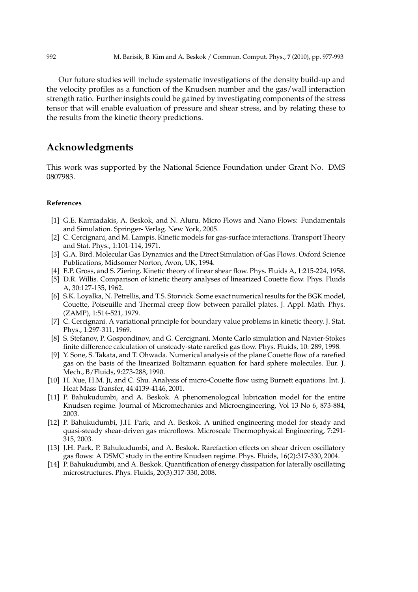Our future studies will include systematic investigations of the density build-up and the velocity profiles as a function of the Knudsen number and the gas/wall interaction strength ratio. Further insights could be gained by investigating components of the stress tensor that will enable evaluation of pressure and shear stress, and by relating these to the results from the kinetic theory predictions.

# **Acknowledgments**

This work was supported by the National Science Foundation under Grant No. DMS 0807983.

### **References**

- [1] G.E. Karniadakis, A. Beskok, and N. Aluru. Micro Flows and Nano Flows: Fundamentals and Simulation. Springer- Verlag. New York, 2005.
- [2] C. Cercignani, and M. Lampis. Kinetic models for gas-surface interactions. Transport Theory and Stat. Phys., 1:101-114, 1971.
- [3] G.A. Bird. Molecular Gas Dynamics and the Direct Simulation of Gas Flows. Oxford Science Publications, Midsomer Norton, Avon, UK, 1994.
- [4] E.P. Gross, and S. Ziering. Kinetic theory of linear shear flow. Phys. Fluids A, 1:215-224, 1958.
- [5] D.R. Willis. Comparison of kinetic theory analyses of linearized Couette flow. Phys. Fluids A, 30:127-135, 1962.
- [6] S.K. Loyalka, N. Petrellis, and T.S. Storvick. Some exact numerical results for the BGK model, Couette, Poiseuille and Thermal creep flow between parallel plates. J. Appl. Math. Phys. (ZAMP), 1:514-521, 1979.
- [7] C. Cercignani. A variational principle for boundary value problems in kinetic theory. J. Stat. Phys., 1:297-311, 1969.
- [8] S. Stefanov, P. Gospondinov, and G. Cercignani. Monte Carlo simulation and Navier-Stokes finite difference calculation of unsteady-state rarefied gas flow. Phys. Fluids, 10: 289, 1998.
- [9] Y. Sone, S. Takata, and T. Ohwada. Numerical analysis of the plane Couette flow of a rarefied gas on the basis of the linearized Boltzmann equation for hard sphere molecules. Eur. J. Mech., B/Fluids, 9:273-288, 1990.
- [10] H. Xue, H.M. Ji, and C. Shu. Analysis of micro-Couette flow using Burnett equations. Int. J. Heat Mass Transfer, 44:4139-4146, 2001.
- [11] P. Bahukudumbi, and A. Beskok. A phenomenological lubrication model for the entire Knudsen regime. Journal of Micromechanics and Microengineering, Vol 13 No 6, 873-884, 2003.
- [12] P. Bahukudumbi, J.H. Park, and A. Beskok. A unified engineering model for steady and quasi-steady shear-driven gas microflows. Microscale Thermophysical Engineering, 7:291- 315, 2003.
- [13] J.H. Park, P. Bahukudumbi, and A. Beskok. Rarefaction effects on shear driven oscillatory gas flows: A DSMC study in the entire Knudsen regime. Phys. Fluids, 16(2):317-330, 2004.
- [14] P. Bahukudumbi, and A. Beskok. Quantification of energy dissipation for laterally oscillating microstructures. Phys. Fluids, 20(3):317-330, 2008.